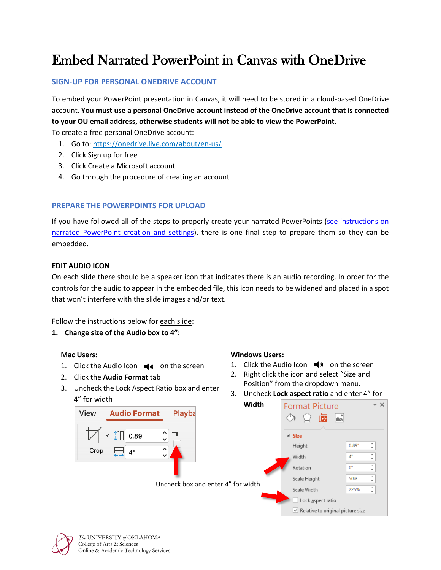# Embed Narrated PowerPoint in Canvas with OneDrive

## **SIGN-UP FOR PERSONAL ONEDRIVE ACCOUNT**

To embed your PowerPoint presentation in Canvas, it will need to be stored in a cloud-based OneDrive account. **You must use a personal OneDrive account instead of the OneDrive account that is connected to your OU email address, otherwise students will not be able to view the PowerPoint.**

To create a free personal OneDrive account:

- 1. Go to: <https://onedrive.live.com/about/en-us/>
- 2. Click Sign up for free
- 3. Click Create a Microsoft account
- 4. Go through the procedure of creating an account

## **PREPARE THE POWERPOINTS FOR UPLOAD**

If you have followed all of the steps to properly create your narrated PowerPoints [\(see instructions on](http://ou.edu/cas/online/academic-technology/narrated-powerpoint-lectures)  [narrated PowerPoint creation and settings\)](http://ou.edu/cas/online/academic-technology/narrated-powerpoint-lectures), there is one final step to prepare them so they can be embedded.

#### **EDIT AUDIO ICON**

On each slide there should be a speaker icon that indicates there is an audio recording. In order for the controls for the audio to appear in the embedded file, this icon needs to be widened and placed in a spot that won't interfere with the slide images and/or text.

Follow the instructions below for each slide:

## **1. Change size of the Audio box to 4":**

#### **Mac Users:**

- 1. Click the Audio Icon  $\blacktriangleleft$  on the screen
- 2. Click the **Audio Format** tab
- 3. Uncheck the Lock Aspect Ratio box and enter 4" for width



#### Uncheck box and enter

#### **Windows Users:**

- 1. Click the Audio Icon  $\blacktriangleleft$  on the screen
- 2. Right click the icon and select "Size and Position" from the dropdown menu.
- 3. Uncheck **Lock aspect ratio** and enter 4" for

| Width          | <b>Format Picture</b><br>匾<br>خە         | – ×    |
|----------------|------------------------------------------|--------|
|                | $\triangle$ Size                         |        |
|                | $0.89+$<br>Height                        | ▲<br>÷ |
| r 4" for width | 4*<br>Width                              |        |
|                | 0°<br>Rotation                           |        |
|                | 50%<br>Scale Height                      |        |
|                | 225%<br>Scale Width                      | ۸      |
|                | Lock aspect ratio                        |        |
|                | $\vee$ Relative to original picture size |        |



*The* UNIVERSITY *of* OKLAHOMA College of Arts & Sciences Online & Academic Technology Services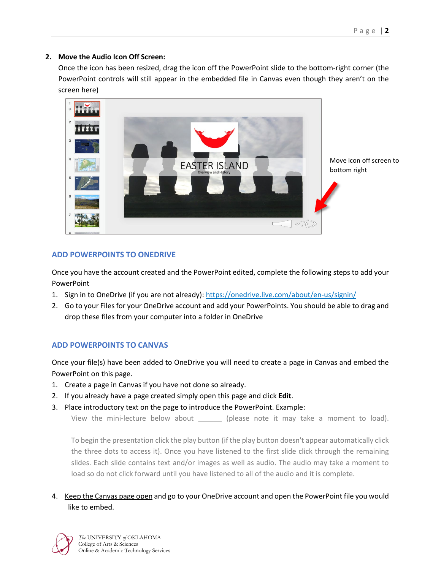## **2. Move the Audio Icon Off Screen:**

Once the icon has been resized, drag the icon off the PowerPoint slide to the bottom-right corner (the PowerPoint controls will still appear in the embedded file in Canvas even though they aren't on the screen here)



## **ADD POWERPOINTS TO ONEDRIVE**

Once you have the account created and the PowerPoint edited, complete the following steps to add your PowerPoint

- 1. Sign in to OneDrive (if you are not already):<https://onedrive.live.com/about/en-us/signin/>
- 2. Go to your Files for your OneDrive account and add your PowerPoints. You should be able to drag and drop these files from your computer into a folder in OneDrive

## **ADD POWERPOINTS TO CANVAS**

Once your file(s) have been added to OneDrive you will need to create a page in Canvas and embed the PowerPoint on this page.

- 1. Create a page in Canvas if you have not done so already.
- 2. If you already have a page created simply open this page and click **Edit**.
- 3. Place introductory text on the page to introduce the PowerPoint. Example:

View the mini-lecture below about \_\_\_\_\_\_ (please note it may take a moment to load).

To begin the presentation click the play button (if the play button doesn't appear automatically click the three dots to access it). Once you have listened to the first slide click through the remaining slides. Each slide contains text and/or images as well as audio. The audio may take a moment to load so do not click forward until you have listened to all of the audio and it is complete.

## 4. Keep the Canvas page open and go to your OneDrive account and open the PowerPoint file you would like to embed.

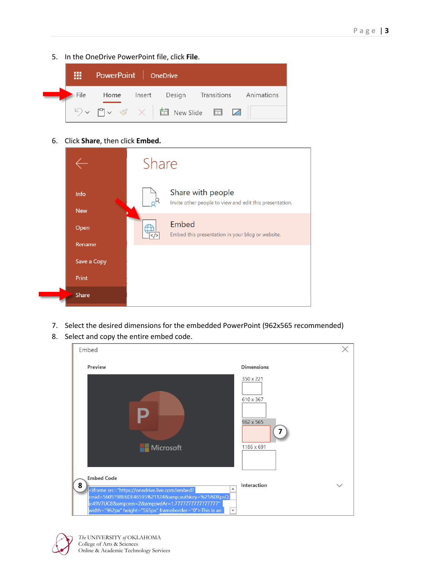5. In the OneDrive PowerPoint file, click **File**.



6. Click **Share**, then click **Embed.**

|                       | Share                                                                        |  |  |
|-----------------------|------------------------------------------------------------------------------|--|--|
| Info<br><b>New</b>    | Share with people<br>Invite other people to view and edit this presentation. |  |  |
| Open                  | Embed<br>Embed this presentation in your blog or website.                    |  |  |
| Rename<br>Save a Copy |                                                                              |  |  |
| Print<br>Share        |                                                                              |  |  |
|                       |                                                                              |  |  |

- 7. Select the desired dimensions for the embedded PowerPoint (962x565 recommended)
- 8. Select and copy the entire embed code.





*The* UNIVERSITY *of* OKLAHOMA College of Arts & Sciences Online & Academic Technology Services